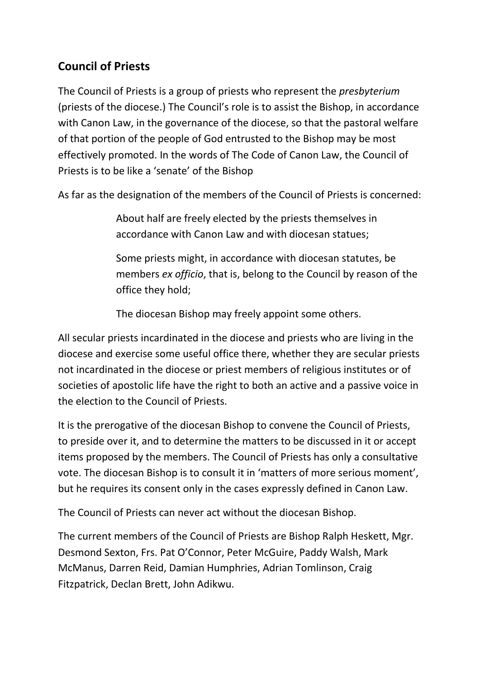## **Council of Priests**

The Council of Priests is a group of priests who represent the *presbyterium* (priests of the diocese.) The Council's role is to assist the Bishop, in accordance with Canon Law, in the governance of the diocese, so that the pastoral welfare of that portion of the people of God entrusted to the Bishop may be most effectively promoted. In the words of The Code of Canon Law, the Council of Priests is to be like a 'senate' of the Bishop

As far as the designation of the members of the Council of Priests is concerned:

About half are freely elected by the priests themselves in accordance with Canon Law and with diocesan statues;

Some priests might, in accordance with diocesan statutes, be members *ex officio*, that is, belong to the Council by reason of the office they hold;

The diocesan Bishop may freely appoint some others.

All secular priests incardinated in the diocese and priests who are living in the diocese and exercise some useful office there, whether they are secular priests not incardinated in the diocese or priest members of religious institutes or of societies of apostolic life have the right to both an active and a passive voice in the election to the Council of Priests.

It is the prerogative of the diocesan Bishop to convene the Council of Priests, to preside over it, and to determine the matters to be discussed in it or accept items proposed by the members. The Council of Priests has only a consultative vote. The diocesan Bishop is to consult it in 'matters of more serious moment', but he requires its consent only in the cases expressly defined in Canon Law.

The Council of Priests can never act without the diocesan Bishop.

The current members of the Council of Priests are Bishop Ralph Heskett, Mgr. Desmond Sexton, Frs. Pat O'Connor, Peter McGuire, Paddy Walsh, Mark McManus, Darren Reid, Damian Humphries, Adrian Tomlinson, Craig Fitzpatrick, Declan Brett, John Adikwu.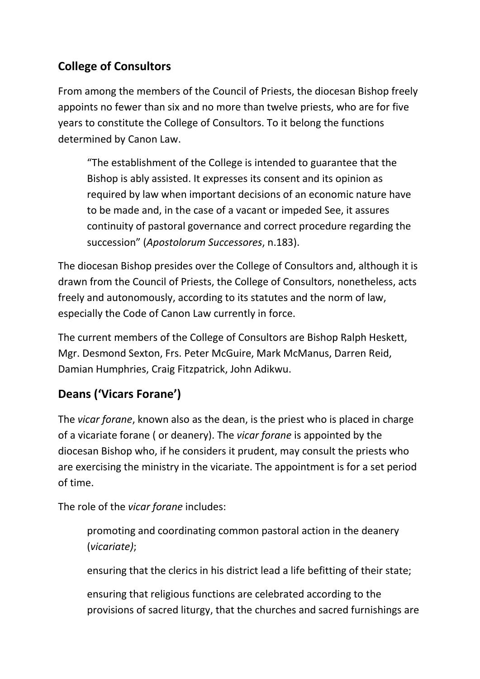## **College of Consultors**

From among the members of the Council of Priests, the diocesan Bishop freely appoints no fewer than six and no more than twelve priests, who are for five years to constitute the College of Consultors. To it belong the functions determined by Canon Law.

"The establishment of the College is intended to guarantee that the Bishop is ably assisted. It expresses its consent and its opinion as required by law when important decisions of an economic nature have to be made and, in the case of a vacant or impeded See, it assures continuity of pastoral governance and correct procedure regarding the succession" (*Apostolorum Successores*, n.183).

The diocesan Bishop presides over the College of Consultors and, although it is drawn from the Council of Priests, the College of Consultors, nonetheless, acts freely and autonomously, according to its statutes and the norm of law, especially the Code of Canon Law currently in force.

The current members of the College of Consultors are Bishop Ralph Heskett, Mgr. Desmond Sexton, Frs. Peter McGuire, Mark McManus, Darren Reid, Damian Humphries, Craig Fitzpatrick, John Adikwu.

## **Deans ('Vicars Forane')**

The *vicar forane*, known also as the dean, is the priest who is placed in charge of a vicariate forane ( or deanery). The *vicar forane* is appointed by the diocesan Bishop who, if he considers it prudent, may consult the priests who are exercising the ministry in the vicariate. The appointment is for a set period of time.

The role of the *vicar forane* includes:

promoting and coordinating common pastoral action in the deanery (*vicariate)*;

ensuring that the clerics in his district lead a life befitting of their state;

ensuring that religious functions are celebrated according to the provisions of sacred liturgy, that the churches and sacred furnishings are